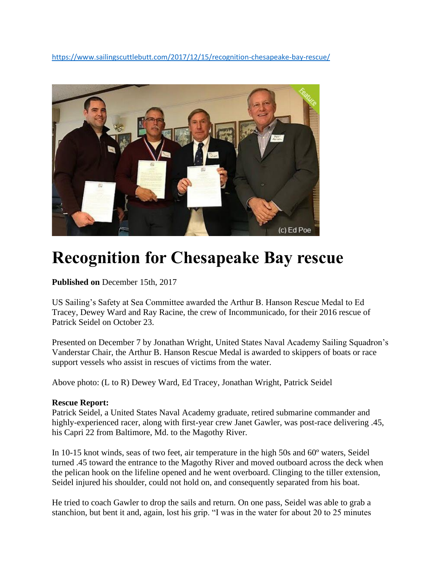<https://www.sailingscuttlebutt.com/2017/12/15/recognition-chesapeake-bay-rescue/>



## **Recognition for Chesapeake Bay rescue**

**Published on** December 15th, 2017

US Sailing's Safety at Sea Committee awarded the Arthur B. Hanson Rescue Medal to Ed Tracey, Dewey Ward and Ray Racine, the crew of Incommunicado, for their 2016 rescue of Patrick Seidel on October 23.

Presented on December 7 by Jonathan Wright, United States Naval Academy Sailing Squadron's Vanderstar Chair, the Arthur B. Hanson Rescue Medal is awarded to skippers of boats or race support vessels who assist in rescues of victims from the water.

Above photo: (L to R) Dewey Ward, Ed Tracey, Jonathan Wright, Patrick Seidel

## **Rescue Report:**

Patrick Seidel, a United States Naval Academy graduate, retired submarine commander and highly-experienced racer, along with first-year crew Janet Gawler, was post-race delivering .45, his Capri 22 from Baltimore, Md. to the Magothy River.

In 10-15 knot winds, seas of two feet, air temperature in the high 50s and 60º waters, Seidel turned .45 toward the entrance to the Magothy River and moved outboard across the deck when the pelican hook on the lifeline opened and he went overboard. Clinging to the tiller extension, Seidel injured his shoulder, could not hold on, and consequently separated from his boat.

He tried to coach Gawler to drop the sails and return. On one pass, Seidel was able to grab a stanchion, but bent it and, again, lost his grip. "I was in the water for about 20 to 25 minutes